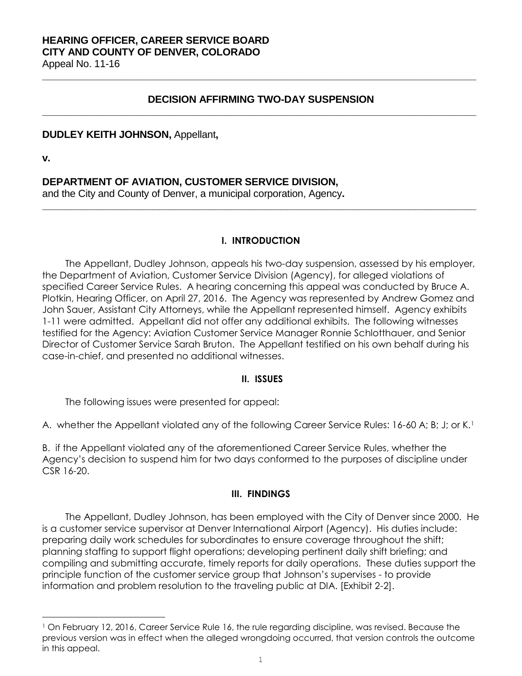# **DECISION AFFIRMING TWO-DAY SUSPENSION \_\_\_\_\_\_\_\_\_\_\_\_\_\_\_\_\_\_\_\_\_\_\_\_\_\_\_\_\_\_\_\_\_\_\_\_\_\_\_\_\_\_\_\_\_\_\_\_\_\_\_\_\_\_\_\_\_\_\_\_\_\_\_\_\_\_\_\_\_\_\_\_\_\_\_\_\_\_**

**\_\_\_\_\_\_\_\_\_\_\_\_\_\_\_\_\_\_\_\_\_\_\_\_\_\_\_\_\_\_\_\_\_\_\_\_\_\_\_\_\_\_\_\_\_\_\_\_\_\_\_\_\_\_\_\_\_\_\_\_\_\_\_\_\_\_\_\_\_\_\_\_\_\_\_\_\_\_**

### **DUDLEY KEITH JOHNSON,** Appellant**,**

**v.**

a<br>B

# **DEPARTMENT OF AVIATION, CUSTOMER SERVICE DIVISION,**

and the City and County of Denver, a municipal corporation, Agency**.**

## **I. INTRODUCTION**

**\_\_\_\_\_\_\_\_\_\_\_\_\_\_\_\_\_\_\_\_\_\_\_\_\_\_\_\_\_\_\_\_\_\_\_\_\_\_\_\_\_\_\_\_\_\_\_\_\_\_\_\_\_\_\_\_\_\_\_\_\_\_\_\_\_\_\_\_\_\_\_\_\_\_\_\_\_\_**

The Appellant, Dudley Johnson, appeals his two-day suspension, assessed by his employer, the Department of Aviation, Customer Service Division (Agency), for alleged violations of specified Career Service Rules. A hearing concerning this appeal was conducted by Bruce A. Plotkin, Hearing Officer, on April 27, 2016. The Agency was represented by Andrew Gomez and John Sauer, Assistant City Attorneys, while the Appellant represented himself. Agency exhibits 1-11 were admitted. Appellant did not offer any additional exhibits. The following witnesses testified for the Agency: Aviation Customer Service Manager Ronnie Schlotthauer, and Senior Director of Customer Service Sarah Bruton. The Appellant testified on his own behalf during his case-in-chief, and presented no additional witnesses.

## **II. ISSUES**

The following issues were presented for appeal:

A. whether the Appellant violated any of the following Career Service Rules: 16-60 A; B; J; or K.<sup>1</sup>

B. if the Appellant violated any of the aforementioned Career Service Rules, whether the Agency's decision to suspend him for two days conformed to the purposes of discipline under CSR 16-20.

## **III. FINDINGS**

The Appellant, Dudley Johnson, has been employed with the City of Denver since 2000. He is a customer service supervisor at Denver International Airport (Agency). His duties include: preparing daily work schedules for subordinates to ensure coverage throughout the shift; planning staffing to support flight operations; developing pertinent daily shift briefing; and compiling and submitting accurate, timely reports for daily operations. These duties support the principle function of the customer service group that Johnson's supervises - to provide information and problem resolution to the traveling public at DIA. [Exhibit 2-2].

<sup>1</sup> On February 12, 2016, Career Service Rule 16, the rule regarding discipline, was revised. Because the previous version was in effect when the alleged wrongdoing occurred, that version controls the outcome in this appeal.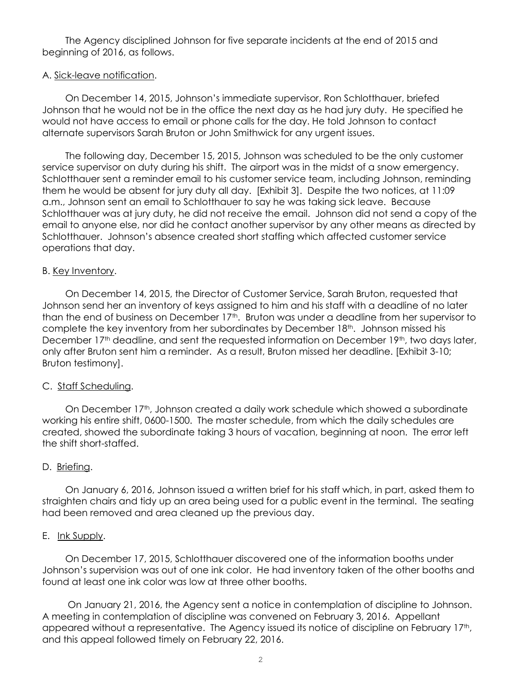The Agency disciplined Johnson for five separate incidents at the end of 2015 and beginning of 2016, as follows.

### A. Sick-leave notification.

On December 14, 2015, Johnson's immediate supervisor, Ron Schlotthauer, briefed Johnson that he would not be in the office the next day as he had jury duty. He specified he would not have access to email or phone calls for the day. He told Johnson to contact alternate supervisors Sarah Bruton or John Smithwick for any urgent issues.

The following day, December 15, 2015, Johnson was scheduled to be the only customer service supervisor on duty during his shift. The airport was in the midst of a snow emergency. Schlotthauer sent a reminder email to his customer service team, including Johnson, reminding them he would be absent for jury duty all day. [Exhibit 3]. Despite the two notices, at 11:09 a.m., Johnson sent an email to Schlotthauer to say he was taking sick leave. Because Schlotthauer was at jury duty, he did not receive the email. Johnson did not send a copy of the email to anyone else, nor did he contact another supervisor by any other means as directed by Schlotthauer. Johnson's absence created short staffing which affected customer service operations that day.

### B. Key Inventory.

On December 14, 2015, the Director of Customer Service, Sarah Bruton, requested that Johnson send her an inventory of keys assigned to him and his staff with a deadline of no later than the end of business on December  $17<sup>th</sup>$ . Bruton was under a deadline from her supervisor to complete the key inventory from her subordinates by December 18<sup>th</sup>. Johnson missed his December 17<sup>th</sup> deadline, and sent the requested information on December 19<sup>th</sup>, two days later, only after Bruton sent him a reminder. As a result, Bruton missed her deadline. [Exhibit 3-10; Bruton testimony].

### C. Staff Scheduling.

On December 17<sup>th</sup>, Johnson created a daily work schedule which showed a subordinate working his entire shift, 0600-1500. The master schedule, from which the daily schedules are created, showed the subordinate taking 3 hours of vacation, beginning at noon. The error left the shift short-staffed.

### D. Briefing.

On January 6, 2016, Johnson issued a written brief for his staff which, in part, asked them to straighten chairs and tidy up an area being used for a public event in the terminal. The seating had been removed and area cleaned up the previous day.

### E. Ink Supply.

On December 17, 2015, Schlotthauer discovered one of the information booths under Johnson's supervision was out of one ink color. He had inventory taken of the other booths and found at least one ink color was low at three other booths.

On January 21, 2016, the Agency sent a notice in contemplation of discipline to Johnson. A meeting in contemplation of discipline was convened on February 3, 2016. Appellant appeared without a representative. The Agency issued its notice of discipline on February 17<sup>th</sup>, and this appeal followed timely on February 22, 2016.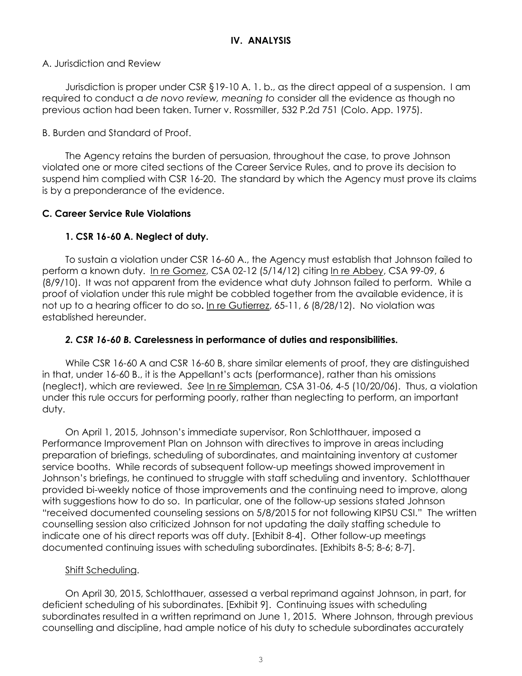## A. Jurisdiction and Review

Jurisdiction is proper under CSR §19-10 A. 1. b., as the direct appeal of a suspension. I am required to conduct a *de novo review, meaning to* consider all the evidence as though no previous action had been taken. Turner v. Rossmiller, 532 P.2d 751 (Colo. App. 1975).

# B. Burden and Standard of Proof.

The Agency retains the burden of persuasion, throughout the case, to prove Johnson violated one or more cited sections of the Career Service Rules, and to prove its decision to suspend him complied with CSR 16-20. The standard by which the Agency must prove its claims is by a preponderance of the evidence.

# **C. Career Service Rule Violations**

# **1. CSR 16-60 A. Neglect of duty.**

To sustain a violation under CSR 16-60 A., the Agency must establish that Johnson failed to perform a known duty. In re Gomez, CSA 02-12 (5/14/12) citing In re Abbey, CSA 99-09, 6 (8/9/10). It was not apparent from the evidence what duty Johnson failed to perform. While a proof of violation under this rule might be cobbled together from the available evidence, it is not up to a hearing officer to do so**.** In re Gutierrez, 65-11, 6 (8/28/12). No violation was established hereunder.

# *2. CSR 16-60 B.* **Carelessness in performance of duties and responsibilities.**

While CSR 16-60 A and CSR 16-60 B, share similar elements of proof, they are distinguished in that, under 16-60 B., it is the Appellant's acts (performance), rather than his omissions (neglect), which are reviewed. *See* In re Simpleman, CSA 31-06, 4-5 (10/20/06). Thus, a violation under this rule occurs for performing poorly, rather than neglecting to perform, an important duty.

On April 1, 2015, Johnson's immediate supervisor, Ron Schlotthauer, imposed a Performance Improvement Plan on Johnson with directives to improve in areas including preparation of briefings, scheduling of subordinates, and maintaining inventory at customer service booths. While records of subsequent follow-up meetings showed improvement in Johnson's briefings, he continued to struggle with staff scheduling and inventory. Schlotthauer provided bi-weekly notice of those improvements and the continuing need to improve, along with suggestions how to do so. In particular, one of the follow-up sessions stated Johnson "received documented counseling sessions on 5/8/2015 for not following KIPSU CSI." The written counselling session also criticized Johnson for not updating the daily staffing schedule to indicate one of his direct reports was off duty. [Exhibit 8-4]. Other follow-up meetings documented continuing issues with scheduling subordinates. [Exhibits 8-5; 8-6; 8-7].

# Shift Scheduling.

On April 30, 2015, Schlotthauer, assessed a verbal reprimand against Johnson, in part, for deficient scheduling of his subordinates. [Exhibit 9]. Continuing issues with scheduling subordinates resulted in a written reprimand on June 1, 2015. Where Johnson, through previous counselling and discipline, had ample notice of his duty to schedule subordinates accurately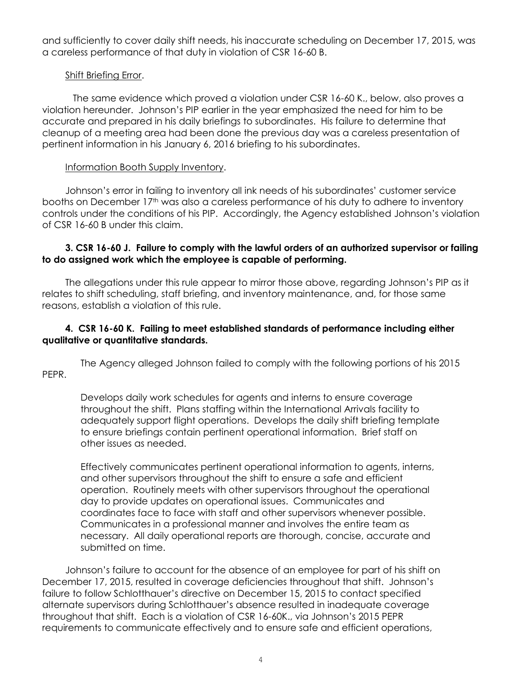and sufficiently to cover daily shift needs, his inaccurate scheduling on December 17, 2015, was a careless performance of that duty in violation of CSR 16-60 B.

## Shift Briefing Error.

The same evidence which proved a violation under CSR 16-60 K., below, also proves a violation hereunder. Johnson's PIP earlier in the year emphasized the need for him to be accurate and prepared in his daily briefings to subordinates. His failure to determine that cleanup of a meeting area had been done the previous day was a careless presentation of pertinent information in his January 6, 2016 briefing to his subordinates.

## Information Booth Supply Inventory.

Johnson's error in failing to inventory all ink needs of his subordinates' customer service booths on December 17<sup>th</sup> was also a careless performance of his duty to adhere to inventory controls under the conditions of his PIP. Accordingly, the Agency established Johnson's violation of CSR 16-60 B under this claim.

## **3. CSR 16-60 J. Failure to comply with the lawful orders of an authorized supervisor or failing to do assigned work which the employee is capable of performing.**

The allegations under this rule appear to mirror those above, regarding Johnson's PIP as it relates to shift scheduling, staff briefing, and inventory maintenance, and, for those same reasons, establish a violation of this rule.

# **4. CSR 16-60 K. Failing to meet established standards of performance including either qualitative or quantitative standards.**

 The Agency alleged Johnson failed to comply with the following portions of his 2015 PEPR.

Develops daily work schedules for agents and interns to ensure coverage throughout the shift. Plans staffing within the International Arrivals facility to adequately support flight operations. Develops the daily shift briefing template to ensure briefings contain pertinent operational information. Brief staff on other issues as needed.

Effectively communicates pertinent operational information to agents, interns, and other supervisors throughout the shift to ensure a safe and efficient operation. Routinely meets with other supervisors throughout the operational day to provide updates on operational issues. Communicates and coordinates face to face with staff and other supervisors whenever possible. Communicates in a professional manner and involves the entire team as necessary. All daily operational reports are thorough, concise, accurate and submitted on time.

Johnson's failure to account for the absence of an employee for part of his shift on December 17, 2015, resulted in coverage deficiencies throughout that shift. Johnson's failure to follow Schlotthauer's directive on December 15, 2015 to contact specified alternate supervisors during Schlotthauer's absence resulted in inadequate coverage throughout that shift. Each is a violation of CSR 16-60K., via Johnson's 2015 PEPR requirements to communicate effectively and to ensure safe and efficient operations,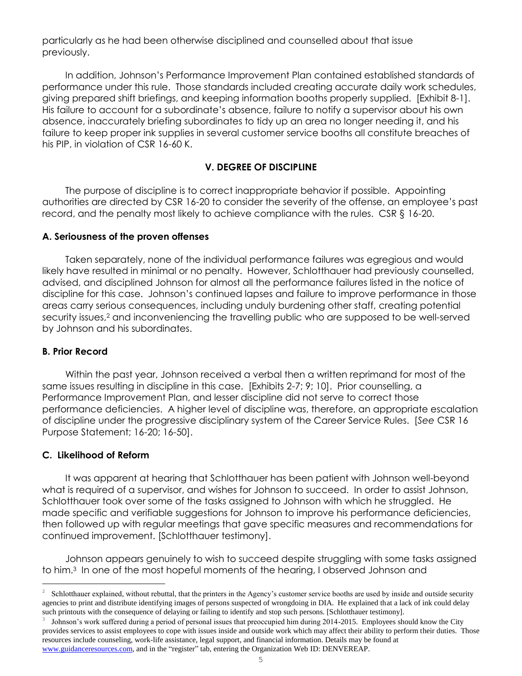particularly as he had been otherwise disciplined and counselled about that issue previously.

In addition, Johnson's Performance Improvement Plan contained established standards of performance under this rule. Those standards included creating accurate daily work schedules, giving prepared shift briefings, and keeping information booths properly supplied. [Exhibit 8-1]. His failure to account for a subordinate's absence, failure to notify a supervisor about his own absence, inaccurately briefing subordinates to tidy up an area no longer needing it, and his failure to keep proper ink supplies in several customer service booths all constitute breaches of his PIP, in violation of CSR 16-60 K.

## **V. DEGREE OF DISCIPLINE**

The purpose of discipline is to correct inappropriate behavior if possible. Appointing authorities are directed by CSR 16-20 to consider the severity of the offense, an employee's past record, and the penalty most likely to achieve compliance with the rules. CSR § 16-20.

## **A. Seriousness of the proven offenses**

Taken separately, none of the individual performance failures was egregious and would likely have resulted in minimal or no penalty. However, Schlotthauer had previously counselled, advised, and disciplined Johnson for almost all the performance failures listed in the notice of discipline for this case. Johnson's continued lapses and failure to improve performance in those areas carry serious consequences, including unduly burdening other staff, creating potential security issues,<sup>2</sup> and inconveniencing the travelling public who are supposed to be well-served by Johnson and his subordinates.

## **B. Prior Record**

Within the past year, Johnson received a verbal then a written reprimand for most of the same issues resulting in discipline in this case. [Exhibits 2-7; 9; 10]. Prior counselling, a Performance Improvement Plan, and lesser discipline did not serve to correct those performance deficiencies. A higher level of discipline was, therefore, an appropriate escalation of discipline under the progressive disciplinary system of the Career Service Rules. [*See* CSR 16 Purpose Statement; 16-20; 16-50].

### **C. Likelihood of Reform**

a<br>B

It was apparent at hearing that Schlotthauer has been patient with Johnson well-beyond what is required of a supervisor, and wishes for Johnson to succeed. In order to assist Johnson, Schlotthauer took over some of the tasks assigned to Johnson with which he struggled. He made specific and verifiable suggestions for Johnson to improve his performance deficiencies, then followed up with regular meetings that gave specific measures and recommendations for continued improvement. [Schlotthauer testimony].

Johnson appears genuinely to wish to succeed despite struggling with some tasks assigned to him.<sup>3</sup> In one of the most hopeful moments of the hearing, I observed Johnson and

<sup>2</sup> Schlotthauer explained, without rebuttal, that the printers in the Agency's customer service booths are used by inside and outside security agencies to print and distribute identifying images of persons suspected of wrongdoing in DIA. He explained that a lack of ink could delay such printouts with the consequence of delaying or failing to identify and stop such persons. [Schlotthauer testimony].

<sup>3</sup> Johnson's work suffered during a period of personal issues that preoccupied him during 2014-2015. Employees should know the City provides services to assist employees to cope with issues inside and outside work which may affect their ability to perform their duties. Those resources include counseling, work-life assistance, legal support, and financial information. Details may be found at [www.guidanceresources.com,](http://www.guidanceresources.com/) and in the "register" tab, entering the Organization Web ID: DENVEREAP.